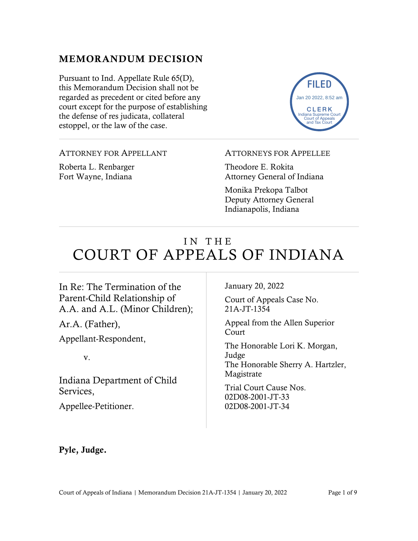# MEMORANDUM DECISION

Pursuant to Ind. Appellate Rule 65(D), this Memorandum Decision shall not be regarded as precedent or cited before any court except for the purpose of establishing the defense of res judicata, collateral estoppel, or the law of the case.

Roberta L. Renbarger Fort Wayne, Indiana

ATTORNEY FOR APPELLANT

ATTORNEYS FOR APPELLEE

Theodore E. Rokita Attorney General of Indiana

Monika Prekopa Talbot Deputy Attorney General Indianapolis, Indiana

# IN THE COURT OF APPEALS OF INDIANA

In Re: The Termination of the Parent-Child Relationship of A.A. and A.L. (Minor Children);

Ar.A. (Father),

Appellant-Respondent,

v.

Indiana Department of Child Services,

Appellee-Petitioner.

January 20, 2022

Court of Appeals Case No. 21A-JT-1354

Appeal from the Allen Superior Court

The Honorable Lori K. Morgan, Judge The Honorable Sherry A. Hartzler, Magistrate

Trial Court Cause Nos. 02D08-2001-JT-33 02D08-2001-JT-34

### Pyle, Judge.

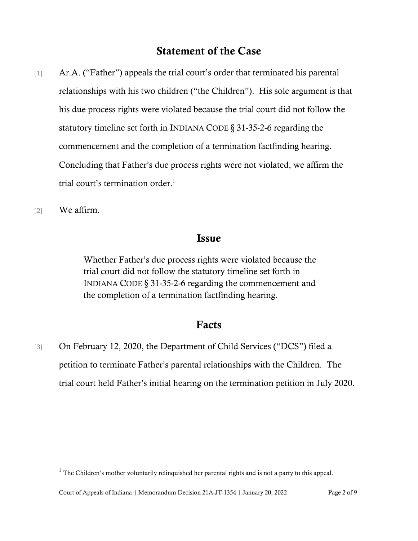# Statement of the Case

- [1] Ar.A. ("Father") appeals the trial court's order that terminated his parental relationships with his two children ("the Children"). His sole argument is that his due process rights were violated because the trial court did not follow the statutory timeline set forth in INDIANA CODE § 31-35-2-6 regarding the commencement and the completion of a termination factfinding hearing. Concluding that Father's due process rights were not violated, we affirm the trial court's termination order.<sup>1</sup>
- [2] We affirm.

#### Issue

Whether Father's due process rights were violated because the trial court did not follow the statutory timeline set forth in INDIANA CODE § 31-35-2-6 regarding the commencement and the completion of a termination factfinding hearing.

### Facts

[3] On February 12, 2020, the Department of Child Services ("DCS") filed a petition to terminate Father's parental relationships with the Children. The trial court held Father's initial hearing on the termination petition in July 2020.

 $<sup>1</sup>$  The Children's mother voluntarily relinquished her parental rights and is not a party to this appeal.</sup>

Court of Appeals of Indiana | Memorandum Decision 21A-JT-1354 | January 20, 2022 Page 2 of 9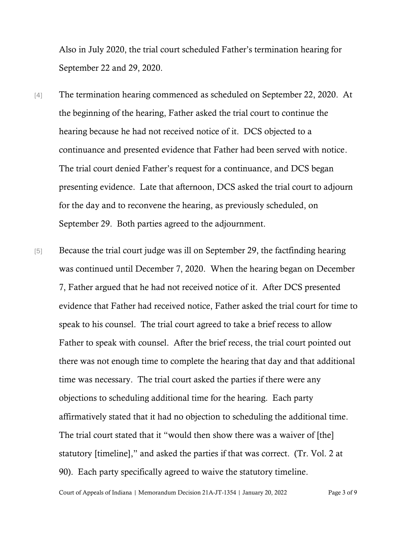Also in July 2020, the trial court scheduled Father's termination hearing for September 22 and 29, 2020.

- [4] The termination hearing commenced as scheduled on September 22, 2020. At the beginning of the hearing, Father asked the trial court to continue the hearing because he had not received notice of it. DCS objected to a continuance and presented evidence that Father had been served with notice. The trial court denied Father's request for a continuance, and DCS began presenting evidence. Late that afternoon, DCS asked the trial court to adjourn for the day and to reconvene the hearing, as previously scheduled, on September 29. Both parties agreed to the adjournment.
- [5] Because the trial court judge was ill on September 29, the factfinding hearing was continued until December 7, 2020. When the hearing began on December 7, Father argued that he had not received notice of it. After DCS presented evidence that Father had received notice, Father asked the trial court for time to speak to his counsel. The trial court agreed to take a brief recess to allow Father to speak with counsel. After the brief recess, the trial court pointed out there was not enough time to complete the hearing that day and that additional time was necessary. The trial court asked the parties if there were any objections to scheduling additional time for the hearing. Each party affirmatively stated that it had no objection to scheduling the additional time. The trial court stated that it "would then show there was a waiver of [the] statutory [timeline]," and asked the parties if that was correct. (Tr. Vol. 2 at 90). Each party specifically agreed to waive the statutory timeline.

Court of Appeals of Indiana | Memorandum Decision 21A-JT-1354 | January 20, 2022 Page 3 of 9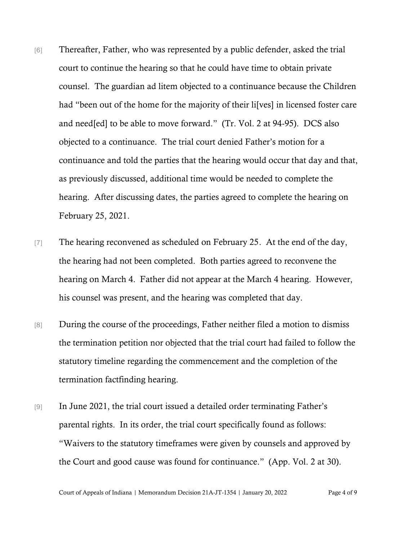- [6] Thereafter, Father, who was represented by a public defender, asked the trial court to continue the hearing so that he could have time to obtain private counsel. The guardian ad litem objected to a continuance because the Children had "been out of the home for the majority of their li[ves] in licensed foster care and need[ed] to be able to move forward." (Tr. Vol. 2 at 94-95). DCS also objected to a continuance. The trial court denied Father's motion for a continuance and told the parties that the hearing would occur that day and that, as previously discussed, additional time would be needed to complete the hearing. After discussing dates, the parties agreed to complete the hearing on February 25, 2021.
- [7] The hearing reconvened as scheduled on February 25. At the end of the day, the hearing had not been completed. Both parties agreed to reconvene the hearing on March 4. Father did not appear at the March 4 hearing. However, his counsel was present, and the hearing was completed that day.
- [8] During the course of the proceedings, Father neither filed a motion to dismiss the termination petition nor objected that the trial court had failed to follow the statutory timeline regarding the commencement and the completion of the termination factfinding hearing.
- [9] In June 2021, the trial court issued a detailed order terminating Father's parental rights. In its order, the trial court specifically found as follows: "Waivers to the statutory timeframes were given by counsels and approved by the Court and good cause was found for continuance." (App. Vol. 2 at 30).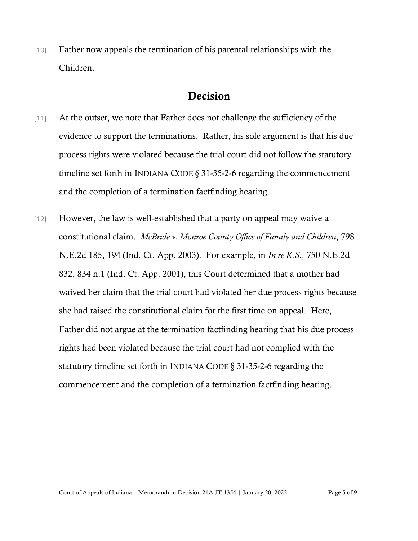[10] Father now appeals the termination of his parental relationships with the Children.

## Decision

- [11] At the outset, we note that Father does not challenge the sufficiency of the evidence to support the terminations. Rather, his sole argument is that his due process rights were violated because the trial court did not follow the statutory timeline set forth in INDIANA CODE § 31-35-2-6 regarding the commencement and the completion of a termination factfinding hearing.
- [12] However, the law is well-established that a party on appeal may waive a constitutional claim. *McBride v. Monroe County Office of Family and Children*, 798 N.E.2d 185, 194 (Ind. Ct. App. 2003). For example, in *In re K.S.*, 750 N.E.2d 832, 834 n.1 (Ind. Ct. App. 2001), this Court determined that a mother had waived her claim that the trial court had violated her due process rights because she had raised the constitutional claim for the first time on appeal. Here, Father did not argue at the termination factfinding hearing that his due process rights had been violated because the trial court had not complied with the statutory timeline set forth in INDIANA CODE § 31-35-2-6 regarding the commencement and the completion of a termination factfinding hearing.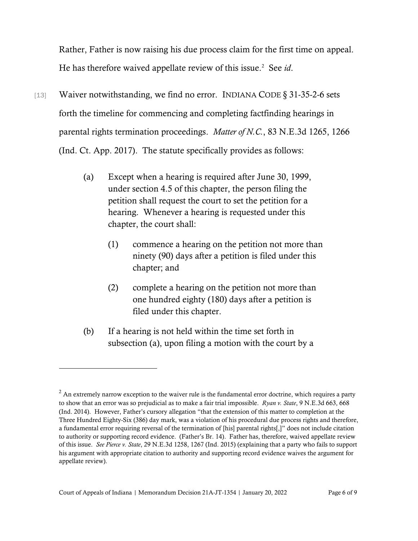Rather, Father is now raising his due process claim for the first time on appeal. He has therefore waived appellate review of this issue.<sup>2</sup> See id.

- [13] Waiver notwithstanding, we find no error. INDIANA CODE § 31-35-2-6 sets forth the timeline for commencing and completing factfinding hearings in parental rights termination proceedings. *Matter of N.C.*, 83 N.E.3d 1265, 1266 (Ind. Ct. App. 2017). The statute specifically provides as follows:
	- (a) Except when a hearing is required after June 30, 1999, under section 4.5 of this chapter, the person filing the petition shall request the court to set the petition for a hearing. Whenever a hearing is requested under this chapter, the court shall:
		- (1) commence a hearing on the petition not more than ninety (90) days after a petition is filed under this chapter; and
		- (2) complete a hearing on the petition not more than one hundred eighty (180) days after a petition is filed under this chapter.
	- (b) If a hearing is not held within the time set forth in subsection (a), upon filing a motion with the court by a

 $2$  An extremely narrow exception to the waiver rule is the fundamental error doctrine, which requires a party to show that an error was so prejudicial as to make a fair trial impossible. *Ryan v. State*, 9 N.E.3d 663, 668 (Ind. 2014). However, Father's cursory allegation "that the extension of this matter to completion at the Three Hundred Eighty-Six (386) day mark, was a violation of his procedural due process rights and therefore, a fundamental error requiring reversal of the termination of [his] parental rights[,]" does not include citation to authority or supporting record evidence. (Father's Br. 14). Father has, therefore, waived appellate review of this issue. *See Pierce v. State*, 29 N.E.3d 1258, 1267 (Ind. 2015) (explaining that a party who fails to support his argument with appropriate citation to authority and supporting record evidence waives the argument for appellate review).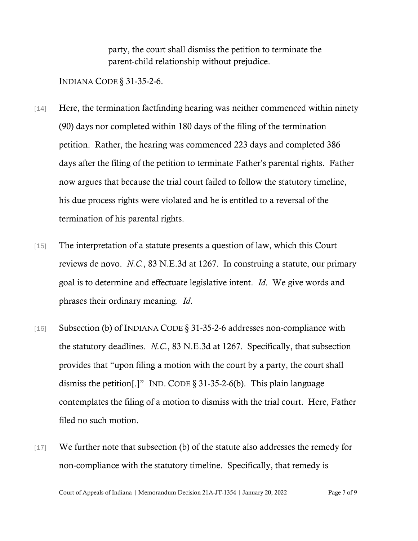party, the court shall dismiss the petition to terminate the parent-child relationship without prejudice.

INDIANA CODE § 31-35-2-6.

- [14] Here, the termination factfinding hearing was neither commenced within ninety (90) days nor completed within 180 days of the filing of the termination petition. Rather, the hearing was commenced 223 days and completed 386 days after the filing of the petition to terminate Father's parental rights. Father now argues that because the trial court failed to follow the statutory timeline, his due process rights were violated and he is entitled to a reversal of the termination of his parental rights.
- [15] The interpretation of a statute presents a question of law, which this Court reviews de novo. *N.C.*, 83 N.E.3d at 1267. In construing a statute, our primary goal is to determine and effectuate legislative intent. *Id*. We give words and phrases their ordinary meaning. *Id*.
- [16] Subsection (b) of INDIANA CODE § 31-35-2-6 addresses non-compliance with the statutory deadlines. *N.C.*, 83 N.E.3d at 1267. Specifically, that subsection provides that "upon filing a motion with the court by a party, the court shall dismiss the petition[.]" IND. CODE § 31-35-2-6(b). This plain language contemplates the filing of a motion to dismiss with the trial court. Here, Father filed no such motion.
- [17] We further note that subsection (b) of the statute also addresses the remedy for non-compliance with the statutory timeline. Specifically, that remedy is

Court of Appeals of Indiana | Memorandum Decision 21A-JT-1354 | January 20, 2022 Page 7 of 9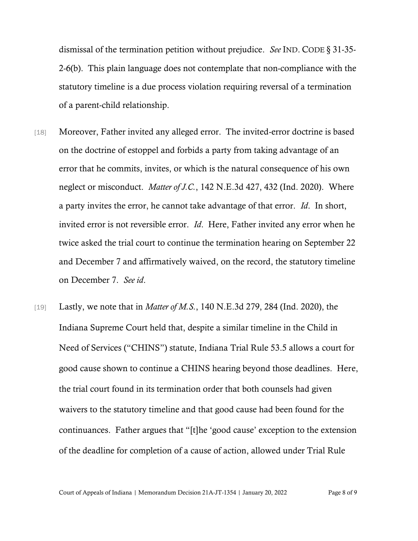dismissal of the termination petition without prejudice. *See* IND. CODE § 31-35- 2-6(b). This plain language does not contemplate that non-compliance with the statutory timeline is a due process violation requiring reversal of a termination of a parent-child relationship.

- [18] Moreover, Father invited any alleged error. The invited-error doctrine is based on the doctrine of estoppel and forbids a party from taking advantage of an error that he commits, invites, or which is the natural consequence of his own neglect or misconduct. *Matter of J.C.*, 142 N.E.3d 427, 432 (Ind. 2020). Where a party invites the error, he cannot take advantage of that error. *Id*. In short, invited error is not reversible error. *Id*. Here, Father invited any error when he twice asked the trial court to continue the termination hearing on September 22 and December 7 and affirmatively waived, on the record, the statutory timeline on December 7. *See id*.
- [19] Lastly, we note that in *Matter of M.S.*, 140 N.E.3d 279, 284 (Ind. 2020), the Indiana Supreme Court held that, despite a similar timeline in the Child in Need of Services ("CHINS") statute, Indiana Trial Rule 53.5 allows a court for good cause shown to continue a CHINS hearing beyond those deadlines. Here, the trial court found in its termination order that both counsels had given waivers to the statutory timeline and that good cause had been found for the continuances. Father argues that "[t]he 'good cause' exception to the extension of the deadline for completion of a cause of action, allowed under Trial Rule